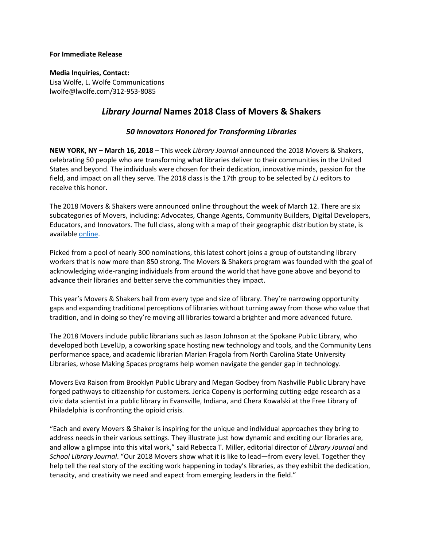## **For Immediate Release**

**Media Inquiries, Contact:**  Lisa Wolfe, L. Wolfe Communications lwolfe@lwolfe.com/312-953-8085

## *Library Journal* **Names 2018 Class of Movers & Shakers**

## *50 Innovators Honored for Transforming Libraries*

**NEW YORK, NY – March 16, 2018** – This week *Library Journal* announced the 2018 Movers & Shakers, celebrating 50 people who are transforming what libraries deliver to their communities in the United States and beyond. The individuals were chosen for their dedication, innovative minds, passion for the field, and impact on all they serve. The 2018 class is the 17th group to be selected by *LJ* editors to receive this honor.

The 2018 Movers & Shakers were announced online throughout the week of March 12. There are six subcategories of Movers, including: Advocates, Change Agents, Community Builders, Digital Developers, Educators, and Innovators. The full class, along with a map of their geographic distribution by state, is available [online.](https://lj.libraryjournal.com/movers/)

Picked from a pool of nearly 300 nominations, this latest cohort joins a group of outstanding library workers that is now more than 850 strong. The Movers & Shakers program was founded with the goal of acknowledging wide-ranging individuals from around the world that have gone above and beyond to advance their libraries and better serve the communities they impact.

This year's Movers & Shakers hail from every type and size of library. They're narrowing opportunity gaps and expanding traditional perceptions of libraries without turning away from those who value that tradition, and in doing so they're moving all libraries toward a brighter and more advanced future.

The 2018 Movers include public librarians such as Jason Johnson at the Spokane Public Library, who developed both LevelUp, a coworking space hosting new technology and tools, and the Community Lens performance space, and academic librarian Marian Fragola from North Carolina State University Libraries, whose Making Spaces programs help women navigate the gender gap in technology.

Movers Eva Raison from Brooklyn Public Library and Megan Godbey from Nashville Public Library have forged pathways to citizenship for customers. Jerica Copeny is performing cutting-edge research as a civic data scientist in a public library in Evansville, Indiana, and Chera Kowalski at the Free Library of Philadelphia is confronting the opioid crisis.

"Each and every Movers & Shaker is inspiring for the unique and individual approaches they bring to address needs in their various settings. They illustrate just how dynamic and exciting our libraries are, and allow a glimpse into this vital work," said Rebecca T. Miller, editorial director of *Library Journal* and *School Library Journal*. "Our 2018 Movers show what it is like to lead—from every level. Together they help tell the real story of the exciting work happening in today's libraries, as they exhibit the dedication, tenacity, and creativity we need and expect from emerging leaders in the field."